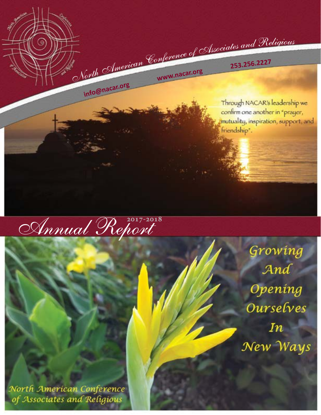<sup>N</sup>o<sup>r</sup>t<sup>h</sup> <sup>A</sup>me<sup>r</sup>ica<sup>n</sup> <sup>C</sup>o<sup>n</sup>ferenc<sup>e</sup> <sup>o</sup><sup>f</sup> <sup>A</sup>sso<sup>c</sup>iate<sup>s</sup> <sup>a</sup><sup>n</sup><sup>d</sup> <sup>R</sup>eligiou<sup>s</sup> **<sup>w</sup>ww.nacar.or<sup>g</sup>**

**<sup>2</sup>53.256.222<sup>7</sup>**

Through NACAR's leadership we confirm one another in "prayer, mutuality, inspiration, support, and friendship".



**info@nacar.or<sup>g</sup>**

Growing And Opening Ourselves  $In$ New Ways

North American Conference of Associates and Religious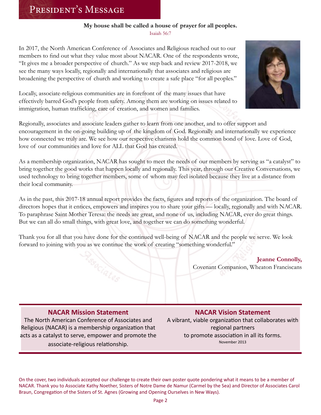# President's Message

#### **My house shall be called a house of prayer for all peoples.**  Isaiah 56:7

In 2017, the North American Conference of Associates and Religious reached out to our members to find out what they value most about NACAR. One of the respondents wrote, "It gives me a broader perspective of church." As we step back and review 2017-2018, we see the many ways locally, regionally and internationally that associates and religious are broadening the perspective of church and working to create a safe place "for all peoples."



Locally, associate-religious communities are in forefront of the many issues that have effectively barred God's people from safety. Among them are working on issues related to immigration, human trafficking, care of creation, and women and families.

Regionally, associates and associate leaders gather to learn from one another, and to offer support and encouragement in the on-going building up of the kingdom of God. Regionally and internationally we experience how connected we truly are. We see how our respective charisms hold the common bond of love. Love of God, love of our communities and love for ALL that God has created.

As a membership organization, NACAR has sought to meet the needs of our members by serving as "a catalyst" to bring together the good works that happen locally and regionally. This year, through our Creative Conversations, we used technology to bring together members, some of whom may feel isolated because they live at a distance from their local community.

As in the past, this 2017-18 annual report provides the facts, figures and reports of the organization. The board of directors hopes that it entices, empowers and inspires you to share your gifts — locally, regionally and with NACAR. To paraphrase Saint Mother Teresa: the needs are great, and none of us, including NACAR, ever do great things. But we can all do small things, with great love, and together we can do something wonderful.

Thank you for all that you have done for the continued well-being of NACAR and the people we serve. We look forward to joining with you as we continue the work of creating "something wonderful."

> **Jeanne Connolly,** Covenant Companion, Wheaton Franciscans

### **NACAR Mission Statement**

The North American Conference of Associates and Religious (NACAR) is a membership organization that acts as a catalyst to serve, empower and promote the

associate-religious relationship.

### **NACAR Vision Statement**

A vibrant, viable organization that collaborates with regional partners to promote association in all its forms. November 2013

On the cover, two individuals accepted our challenge to create their own poster quote pondering what it means to be a member of NACAR. Thank you to Associate Kathy Noether, Sisters of Notre Dame de Namur (Carmel by the Sea) and Director of Associates Carol Braun, Congregation of the Sisters of St. Agnes (Growing and Opening Ourselves in New Ways).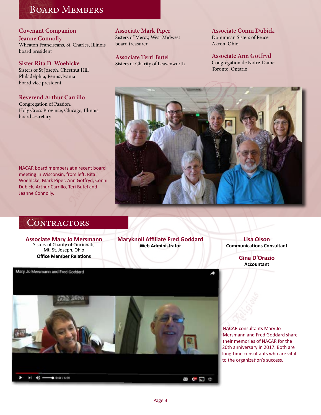# Board Members

# **Covenant Companion**

**Jeanne Connolly** Wheaton Franciscans, St. Charles, Illinois board president

**Sister Rita D. Woehlcke**  Sisters of St Joseph, Chestnut Hill

Philadelphia, Pennsylvania board vice president

#### **Reverend Arthur Carrillo**

Congregation of Passion, Holy Cross Province, Chicago, Illinois board secretary

**Associate Mark Piper** Sisters of Mercy, West Midwest board treasurer

**Associate Terri Butel** Sisters of Charity of Leavenworth **Associate Conni Dubick** Dominican Sisters of Peace Akron, Ohio

**Associate Ann Gotfryd** Congrégation de Notre-Dame Toronto, Ontario



# CONTRACTORS

meeting in Wisconsin, from left, Rita

Dubick, Arthur Carrillo, Teri Butel and

Jeanne Connolly.

**Associate Mary Jo Mersmann**  Sisters of Charity of Cincinnati, Mt. St. Joseph, Ohio **Office Member Relations**

Mary Jo Mersmann and Fred Goddard

**Maryknoll Affiliate Fred Goddard Web Administrator**

**Lisa Olson Communications Consultant**

> **Gina D'Orazio Accountant**



NACAR consultants Mary Jo Mersmann and Fred Goddard share their memories of NACAR for the 20th anniversary in 2017. Both are long-time consultants who are vital to the organization's success.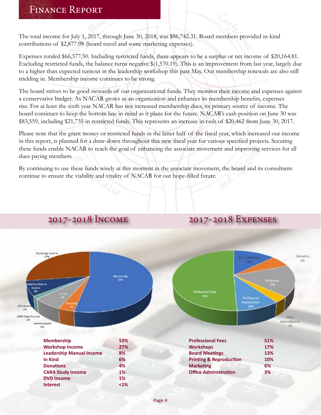# Finance Report

The total income for July 1, 2017, through June 30, 2018, was \$86,742.31. Board members provided in-kind contributions of \$2,877.98 (board travel and some marketing expenses).

Expenses totaled \$66,577.50. Including restricted funds, there appears to be a surplus or net income of \$20,164.81. Excluding restricted funds, the balance turns negative \$(1,570.19). This is an improvement from last year, largely due to a higher than expected turnout in the leadership workshop this past May. Our membership renewals are also still trickling in. Membership income continues to be strong.

The board strives to be good stewards of our organizational funds. They monitor their income and expenses against a conservative budget. As NACAR grows as an organization and enhances its membership benefits, expenses rise. For at least the sixth year NACAR has not increased membership dues, its primary source of income. The board continues to keep the bottom line in mind as it plans for the future. NACAR's cash position on June 30 was \$83,559, including \$21,735 in restricted funds. This represents an increase in cash of \$20,462 from June 30, 2017.

Please note that the grant money or restricted funds in the latter half of the fiscal year, which increased our income in this report, is planned for a draw-down throughout this new fiscal year for various specified projects. Securing these funds enable NACAR to reach the goal of enhancing the associate movement and improving services for all dues paying members.

By continuing to use these funds wisely at this moment in the associate movement, the board and its consultants continue to ensure the viability and vitality of NACAR for our hope-filled future.

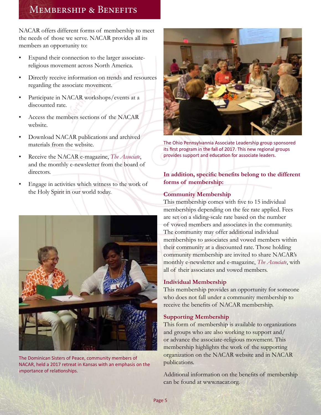# Membership & Benefits

NACAR offers different forms of membership to meet the needs of those we serve. NACAR provides all its members an opportunity to:

- Expand their connection to the larger associatereligious movement across North America.
- Directly receive information on trends and resources regarding the associate movement.
- Participate in NACAR workshops/events at a discounted rate.
- Access the members sections of the NACAR website.
- Download NACAR publications and archived materials from the website.
- Receive the NACAR e-magazine, *The Associate*, and the monthly e-newsletter from the board of directors.
- Engage in activities which witness to the work of the Holy Spirit in our world today.



The Dominican Sisters of Peace, community members of NACAR, held a 2017 retreat in Kansas with an emphasis on the importance of relationships.



The Ohio Pennsylvannia Associate Leadership group sponsored its first program in the fall of 2017. This new regional groups provides support and education for associate leaders.

#### **In addition, specific benefits belong to the different forms of membership:**

#### **Community Membership**

This membership comes with five to 15 individual memberships depending on the fee rate applied. Fees are set on a sliding-scale rate based on the number of vowed members and associates in the community. The community may offer additional individual memberships to associates and vowed members within their community at a discounted rate. Those holding community membership are invited to share NACAR's monthly e-newsletter and e-magazine, *The Associate*, with all of their associates and vowed members.

#### **Individual Membership**

This membership provides an opportunity for someone who does not fall under a community membership to receive the benefits of NACAR membership.

#### **Supporting Membership**

This form of membership is available to organizations and groups who are also working to support and/ or advance the associate-religious movement. This membership highlights the work of the supporting organization on the NACAR website and in NACAR publications.

Additional information on the benefits of membership can be found at www.nacar.org.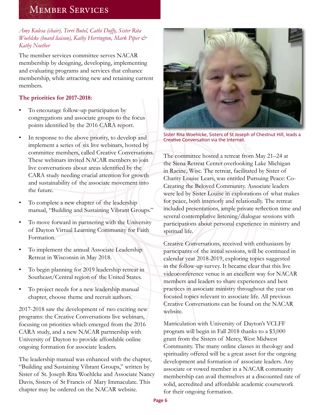# Member Services

### *Amy Kulesa (chair), Terri Butel, Cathi Duffy, Sister Rita Woehlcke (board liaison), Kathy Herrington, Mark Piper & Kathy Noether*

The member services committee serves NACAR membership by designing, developing, implementing and evaluating programs and services that enhance membership, while attracting new and retaining current members.

### **The priorities for 2017-2018:**

- To encourage follow-up participation by congregations and associate groups to the focus points identified by the 2016 CARA report.
- In response to the above priority, to develop and implement a series of six live webinars, hosted by committee members, called Creative Conversations. These webinars invited NACAR members to join live conversations about areas identified by the CARA study needing crucial attention for growth and sustainability of the associate movement into the future.
- To complete a new chapter of the leadership manual, "Building and Sustaining Vibrant Groups."
- To move forward in partnering with the University of Dayton Virtual Learning Community for Faith Formation.
- To implement the annual Associate Leadership Retreat in Wisconsin in May 2018.
- To begin planning for 2019 leadership retreat in Southeast/Central region of the United States.
- To project needs for a new leadership manual chapter, choose theme and recruit authors.

2017-2018 saw the development of two exciting new programs: the Creative Conversations live webinars, focusing on priorities which emerged from the 2016 CARA study, and a new NACAR partnership with University of Dayton to provide affordable online ongoing formation for associate leaders.

The leadership manual was enhanced with the chapter, "Building and Sustaining Vibrant Groups," written by Sister of St. Joseph Rita Woehlcke and Associate Nancy Davis, Sisters of St Francis of Mary Immaculate. This chapter may be ordered on the NACAR website.



Sister Rita Woehlcke, Sisters of St Joseph of Chestnut Hill, leads a Creative Conversation via the Internet.

The committee hosted a retreat from May 21–24 at the Siena Retreat Center overlooking Lake Michigan in Racine, Wisc. The retreat, facilitated by Sister of Charity Louise Lears, was entitled Pursuing Peace: Co-Creating the Beloved Community. Associate leaders were led by Sister Louise in explorations of what makes for peace, both interiorly and relationally. The retreat included presentations, ample private reflection time and several contemplative listening/dialogue sessions with participations about personal experience in ministry and spiritual life.

Creative Conversations, received with enthusiasm by participants of the initial sessions, will be continued in calendar year 2018-2019, exploring topics suggested in the follow-up survey. It became clear that this live videoconference venue is an excellent way for NACAR members and leaders to share experiences and best practices in associate ministry throughout the year on focused topics relevant to associate life. All previous Creative Conversations can be found on the NACAR website.

Matriculation with University of Dayton's VCLFF program will begin in Fall 2018 thanks to a \$3,000 grant from the Sisters of Mercy, West Midwest Community. The many online classes in theology and spirituality offered will be a great asset for the ongoing development and formation of associate leaders. Any associate or vowed member in a NACAR community membership can avail themselves at a discounted rate of solid, accredited and affordable academic coursework for their ongoing formation.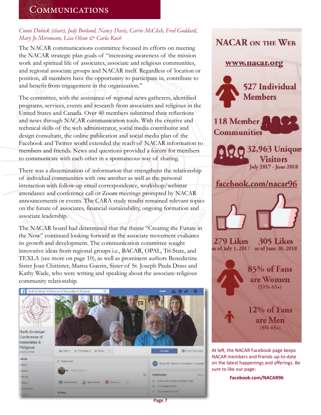# **COMMUNICATIONS**

### *Conni Dubick (chair), Judy Borland, Nancy Davis, Carrie McClish, Fred Goddard, Mary Jo Mersmann, Lisa Olson & Carla Rush*

The NACAR communications committee focused its efforts on meeting the NACAR strategic plan goals of "increasing awareness of the mission work and spiritual life of associates, associate and religious communities, and regional associate groups and NACAR itself. Regardless of location or position, all members have the opportunity to participate in, contribute to and benefit from engagement in the organization."

The committee, with the assistance of regional news gatherers, identified programs, services, events and research from associates and religious in the United States and Canada. Over 40 members submitted their reflections and news through NACAR communication tools. With the creative and technical skills of the web administrator, social media contributor and design consultant, the online publication and social media plan of the Facebook and Twitter world extended the reach of NACAR information to members and friends. News and questions provided a forum for members to communicate with each other in a spontaneous way of sharing.

There was a dissemination of information that strengthens the relationship of individual communities with one another as well as the personal interaction with follow-up email correspondence, workshop/webinar attendance and conference call or Zoom meetings prompted by NACAR announcements or events. The CARA study results remained relevant topics on the future of associates, financial sustainability, ongoing formation and associate leadership.

The NACAR board had determined that the theme "Creating the Future in the Now" continued looking forward as the associate movement evaluates its growth and development. The communication committee sought innovative ideas from regional groups i.e., BACAR, OPAL, Tri-State, and TEXLA (see more on page 10), as well as prominent authors Benedictine Sister Joan Chittister, Marisa Guerin, Sister of St. Joseph Paula Drass and Kathy Wade, who were writing and speaking about the associate-religious community relationship.





on the latest happenings and offerings. Be sure to like our page:

**Facebook.com/NACAR96**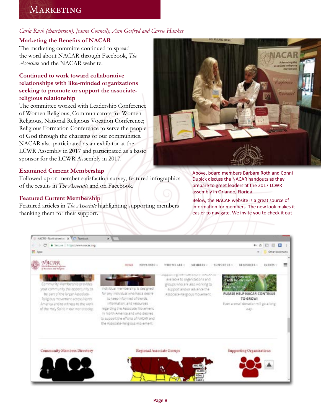# **MARKETING**

#### *Carla Rush (chairperson), Jeanne Connolly, Ann Gotfryd and Carrie Hankes*

#### **Marketing the Benefits of NACAR**

The marketing committe continued to spread the word about NACAR through Facebook, *The Associate* and the NACAR website.

#### **Continued to work toward collaborative relationships with like-minded organizations seeking to promote or support the associatereligious relationship**

The committee worked with Leadership Conference of Women Religious, Communicators for Women Religious, National Religious Vocation Conference; Religious Formation Conference to serve the people of God through the charisms of our communities. NACAR also participated as an exhibitor at the LCWR Assembly in 2017 and participated as a basic sponsor for the LCWR Assembly in 2017.

#### **Examined Current Membership**

Followed up on member satisfaction survey, featured infographics of the results in *The Associate* and on Facebook.

#### **Featured Current Membership**

Featured articles in *The Associate* highlighting supporting members thanking them for their support.



Above, board members Barbara Roth and Conni Dubick discuss the NACAR handouts as they prepare to greet leaders at the 2017 LCWR assembly in Orlando, Florida.

Below, the NACAR website is a great source of information for members. The new look makes it easier to navigate. We invite you to check it out!

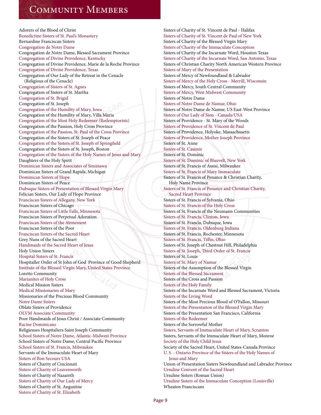# Community Members

Adorers of the Blood of Christ Benedictine Sisters of St. Paul's Monastery Bernardine Franciscan Sisters Congregation de Notre Dame Congregation de Notre Dame, Blessed Sacrament Province Congregation of Divine Providence, Kentucky Congregation of Divine Providence, Marie de la Roche Province Congregation of Divine Providence, Texas Congregation of Our Lady of the Retreat in the Cenacle (Religious of the Cenacle) Congregation of Sisters of St. Agnes Congregation of Sisters of St. Martha Congregation of St. Brigid Congregation of St. Joseph Congregation of the Humility of Mary, Iowa Congregation of the Humility of Mary, Villa Maria Congregation of the Most Holy Redeemer (Redemptorists) Congregation of the Passion, Holy Cross Province Congregation of the Passion, St. Paul of the Cross Province Congregation of the Sisters of St. Joseph of Peace Congregation of the Sisters of St. Joseph of Springfield Congregation of the Sisters of St. Joseph, Boston Congregation of the Sisters of the Holy Names of Jesus and Mary Daughters of the Holy Spirit Dominican Sisters and Associates of Sinsinawa Dominican Sisters of Grand Rapids, Michigan Dominican Sisters of Hope Dominican Sisters of Peace Dubuque Sisters of Presentation of Blessed Virgin Mary Felician Sisters, Our Lady of Hope Province Franciscan Sisters of Allegany, New York Franciscan Sisters of Chicago Franciscan Sisters of Little Falls, Minnesota Franciscan Sisters of Perpetual Adoration Franciscan Sisters of the Atonement Franciscan Sisters of the Poor Franciscan Sisters of the Sacred Heart Grey Nuns of the Sacred Heart Handmaids of the Sacred Heart of Jesus Holy Union Sisters Hospital Sisters of St. Francis Hospitaller Order of St John of God Province of Good Shepherd Institute of the Blessed Virgin Mary, United States Province Loretto Community Marianites of Holy Cross Medical Mission Sisters Medical Missionaries of Mary Missionaries of the Precious Blood Community Notre Dame Sisters Oblate Sisters of Providence OLVM Associate Community Poor Handmaids of Jesus Christ / Associate Community Racine Dominicans Religieuses Hospitaliers Saint Joseph Community School Sisters of Notre Dame, Atlantic-Midwest Province School Sisters of Notre Dame, Central Pacific Province School Sisters of St. Francis, Milwaukee Servants of the Immaculate Heart of Mary Sisters of Bon Secours USA Sisters of Charity of Cincinnati Sisters of Charity of Leavenworth Sisters of Charity of Nazareth Sisters of Charity of Our Lady of Mercy Sisters of Charity of St. Augustine Sisters of Charity of St. Elizabeth

Sisters of Charity of St. Vincent de Paul - Halifax Sisters of Charity of St. Vincent de Paul of New York Sisters of Charity of the Blessed Virgin Mary Sisters of Charity of the Immaculate Conception Sisters of Charity of the Incarnate Word, Houston Texas Sisters of Charity of the Incarnate Word, San Antonio, Texas Sisters of Christian Charity North American Western Province Sisters of Mary of the Presentation Sisters of Mercy of Newfoundland & Labrador Sisters of Mercy of the Holy Cross - Merrill, Wisconsin Sisters of Mercy, South Central Community Sisters of Mercy, West Midwest Community Sisters of Notre Dame Sisters of Notre Dame de Namur, Ohio Sisters of Notre Dame de Namur, US East-West Province Sisters of Our Lady of Sion - Canada/USA Sisters of Providence - St. Mary of the Woods Sisters of Providence of St. Vincent de Paul Sisters of Providence, Holyoke, Massachusetts Sisters of Providence, Mother Joseph Province Sisters of St. Anne Sisters of St. Casimir Sisters of St. Dominic Sisters of St. Dominic of Blauvelt, New York Sisters of St. Francis of Assisi, Milwaukee Sisters of St. Francis of Mary Immaculate Sisters of St. Francis of Penance & Christian Charity, Holy Name Province Sisters of St. Francis of Penance and Christian Charity, Sacred Heart Province Sisters of St. Francis of Sylvania, Ohio Sisters of St. Francis of the Holy Cross Sisters of St. Francis of the Neumann Communities Sisters of St. Francis, Clinton, Iowa Sisters of St. Francis, Dubuque, Iowa Sisters of St. Francis, Oldenburg Indiana Sisters of St. Francis, Rochester, Minnesota Sisters of St. Francis, Tiffin, Ohio Sisters of St. Joseph of Chestnut Hill, Philadelphia Sisters of St. Joseph, Third Order of St. Francis Sisters of St. Louis Sisters of St. Mary of Namur Sisters of the Assumption of the Blessed Virgin Sisters of the Blessed Sacrament Sisters of the Cross and Passion Sisters of the Holy Family Sisters of the Incarnate Word and Blessed Sacrament, Victoria Sisters of the Living Word Sisters of the Most Precious Blood of O'Fallon, Missouri Sisters of the Presentation of the Blessed Virgin Mary Sisters of the Presentation San Francisco, California Sisters of the Redeemer Sisters of the Sorrowful Mother Sisters, Servants of Immaculate Heart of Mary, Scranton Sisters, Servants of the Immaculate Heart of Mary, Monroe Society of the Holy Child Jesus Society of the Sacred Heart, United States-Canada Province U. S. - Ontario Province of the Sisters of the Holy Names of Jesus and Mary Union of Presentation Sisters Newfoundland and Labrador Province Ursuline Convent of the Sacred Heart Ursuline Sisters (Roman Union) Ursuline Sisters of the Immaculate Conception (Louisville) Wheaton Franciscans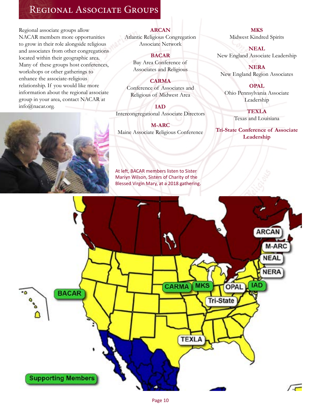# Regional Associate Groups

Regional associate groups allow NACAR members more opportunities to grow in their role alongside religious and associates from other congregations located within their geographic area. Many of these groups host conferences, workshops or other gatherings to enhance the associate-religious relationship. If you would like more information about the regional associate group in your area, contact NACAR at info@nacar.org.



#### **ARCAN**

Atlantic Religious Congregation Associate Network

#### **BACAR**

Bay Area Conference of Associates and Religious

#### **CARMA**

Conference of Associates and Religious of Midwest Area

**IAD** Intercongregational Associate Directors

**M-ARC**  Maine Associate Religious Conference

At left, BACAR members listen to Sister Mariyn Wilson, Sisters of Charity of the Blessed Virgin Mary, at a 2018 gathering.

**MKS** Midwest Kindred Spirits

**NEAL** New England Associate Leadership

**NERA** New England Region Associates

#### **OPAL**

Ohio Pennsylvania Associate Leadership

> **TEXLA** Texas and Louisiana

**Tri-State Conference of Associate Leadership**

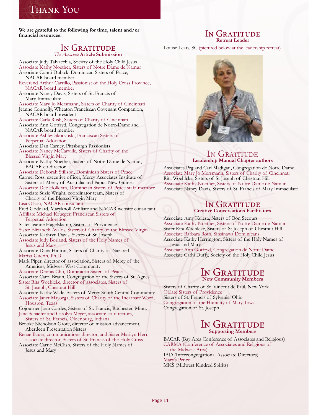# Thank You

**We are grateful to the following for time, talent and/or financial resources:**

#### IN GRATITUDE *The Associate* **Article Submission**

Associate Judy Talvacchia, Society of the Holy Child Jesus Associate Kathy Noether, Sisters of Notre Dame de Namur Associate Conni Dubick, Dominican Sisters of Peace, NACAR board member Reverend Arthur Carrillo, Passionist of the Holy Cross Province, NACAR board member Associate Nancy Davis, Sisters of St. Francis of Mary Immaculate Associate Mary Jo Mersmann, Sisters of Charity of Cincinnati Jeanne Connolly, Wheaton Franciscan Covenant Companion,

 NACAR board president Associate Carla Rush, Sisters of Charity of Cincinnati Associate Ann Gotfryd, Congregation de Notre-Dame and NACAR board member

Associate Ashley Skocynski, Franciscan Sisters of Perpetual Adoration Associate Dan Carney, Pittsburgh Passionists

Associate Nancy McCarville, Sisters of Charity of the Blessed Virgin Mary

Associate Kathy Noether, Sisters of Notre Dame de Namur, BACAR co-director

Associate Deborah Stillson, Dominican Sisters of Peace Carmel Ross, executive officer, Mercy Associates Institute of Sisters of Mercy of Australia and Papua New Guinea

Associate Dee Holleran, Domincian Sisters of Peace staff member Associate Suzie Wright, coordinator team, Sisters of

Charity of the Blessed Virgin Mary

Lisa Olson, NACAR consultant

Fred Goddard, Maryknoll Affiliate and NACAR website consultant Affiliate Michael Krueger, Franciscan Sisters of

Perpetual Adoration

Sister Jeanne Hagelskamp, Sisters of Providence

- Sister Elizabeth Avalos, Sisters of Charity of the Blessed Virgin
- Associate Kathryn Davis, Sisters of St. Joseph
- Associate Judy Borland, Sisters of the Holy Names of Jesus and Mary

Associate Dana Hinton, Sisters of Charity of Nazareth Marisa Guerin, Ph.D

Mark Piper, director of association, Sisters of Mercy of the Americas, Midwest West Community

Associate Dennis Cho, Dominican Sisters of Peace

Associate Carol Braun, Congregation of the Sisters of St. Agnes

Sister Rita Woehlcke, director of associates, Sisters of

St. Joseph, Chestnut Hill

Associate Kathy Wade, Sisters of Mercy South Central Community Associate Janet Mayorga, Sisters of Charity of the Incarnate Word, Houston, Texas

Cojourner Joan Cordes, Sisters of St. Francis, Rochester, Minn. Jane Schaefer and Carolyn Meyer, associate co-directors,

Sisters of St. Francis, Oldenburg, Indiana

Brooke Nicholson Grote, director of mission advancement, Aberdeen Presentation Sisters

Renae Bauer, communications director, and Sister Marilyn Herr, associate director, Sisters of St. Francis of the Holy Cross

Associate Carrie McClish, Sisters of the Holy Names of Jesus and Mary

#### IN GRATITUDE **Retreat Leader**

Louise Lears, SC (pictured below at the leadership retreat)



#### In Gratitude **Leadership Manual Chapter authors**

Associates Peg and Carl Madigan, Congregation de Notre Dame Associate Mary Jo Mersmann, Sisters of Charity of Cincinnati Rita Woehlcke, Sisters of St Joseph of Chestnut Hill Associate Kathy Noether, Sisters of Notre Dame de Namur Associate Nancy Davis, Sisters of St. Francis of Mary Immaculate

#### IN GRATITUDE **Creative Conversations Facilitators**

Associate Amy Kulesa, Sisters of Bon Secours Associate Kathy Noether, Sisters of Notre Dame de Namur Sister Rita Woehlcke, Sisters of St Joseph of Chestnut Hill Associate Barbara Roth, Sinsinawa Dominicans Associate Kathy Herrington, Sisters of the Holy Names of Jesus and Mary

Associate Ann Gotfryd, Congregation de Notre Dame Associate Cathi Duffy, Society of the Holy Child Jesus

#### IN GRATITUDE **New Community Members**

Sisters of Charity of St. Vincent de Paul, New York Oblate Sisters of Providence Sisters of St. Francis of Sylvania, Ohio Congregation of the Humility of Mary, Iowa Congregation of St. Joseph

#### IN GRATITUDE **Supporting Members**

BACAR (Bay Area Conference of Associates and Religious) CARMA (Conference of Associates and Religious of the Midwest Area) IAD (Intercongregational Associate Directors) Mary's Pence MKS (Midwest Kindred Spirits)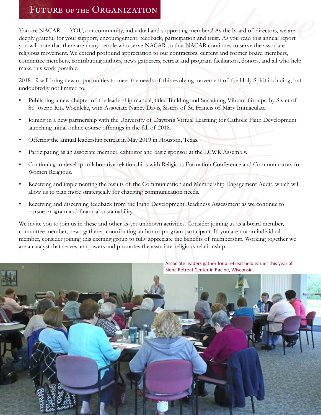You are NACAR … YOU, our community, individual and supporting members! As the board of directors, we are deeply grateful for your support, encouragement, feedback, participation and trust. As you read this annual report you will note that there are many people who serve NACAR so that NACAR continues to serve the associatereligious movement. We extend profound appreciation to our contractors, current and former board members, committee members, contributing authors, news gatherers, retreat and program facilitators, donors, and all who help make this work possible. FUTURE OF THE ORGANIZATION<br>are NACAR ... YOU, our community, individual and supporting members! As the board of directors, we are<br>bly grateful for your support, encouragement, feedback, participation and trust. As you read

2018-19 will bring new opportunities to meet the needs of this evolving movement of the Holy Spirit including, but undoubtedly not limited to:

- Publishing a new chapter of the leadership manual, titled Building and Sustaining Vibrant Groups, by Sister of St. Joseph Rita Woehlcke, with Associate Nancy Davis, Sisters of St. Francis of Mary Immaculate.
- Joining in a new partnership with the University of Dayton's Virtual Learning for Catholic Faith Development launching initial online course offerings in the fall of 2018.
- Offering the annual leadership retreat in May 2019 in Houston, Texas.
- Participating as an associate member, exhibitor and basic sponsor at the LCWR Assembly.
- Continuing to develop collaborative relationships with Religious Formation Conference and Communicators for Women Religious.
- Receiving and implementing the results of the Communication and Membership Engagement Audit, which will allow us to plan more strategically for changing communication needs.
- Receiving and discerning feedback from the Fund Development Readiness Assessment as we continue to pursue program and financial sustainability.

We invite you to join us in these and other as-yet-unknown activities. Consider joining us as a board member, committee member, news gatherer, contributing author or program participant. If you are not an individual member, consider joining this exciting group to fully appreciate the benefits of membership. Working together we are a catalyst that serves, empowers and promotes the associate-religious relationship.